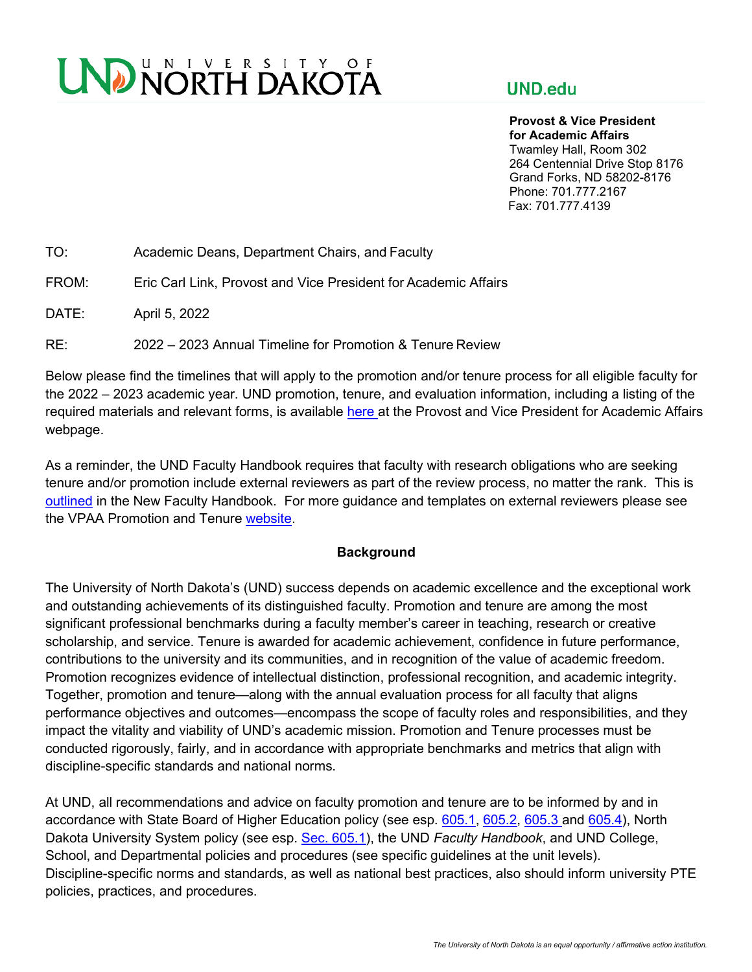# UND NORTH DAKOTA

## **UND.edu**

**Provost & Vice President for Academic Affairs**  Twamley Hall, Room 302 264 Centennial Drive Stop 8176 Grand Forks, ND 58202-8176 Phone: 701.777.2167 Fax: 701.777.4139

FROM: Eric Carl Link, Provost and Vice President for Academic Affairs

DATE: April 5, 2022

RE: 2022 – 2023 Annual Timeline for Promotion & Tenure Review

Below please find the timelines that will apply to the promotion and/or tenure process for all eligible faculty for the 2022 – 2023 academic year. UND promotion, tenure, and evaluation information, including a listing of the required materials and relevant forms, is available [here a](https://und.edu/academics/provost/promotion-and-tenure.html)t the Provost and Vice President for Academic Affairs webpage.

As a reminder, the UND Faculty Handbook requires that faculty with research obligations who are seeking tenure and/or promotion include external reviewers as part of the review process, no matter the rank. This is [outlined](https://und.policystat.com/policy/8921071/latest/#autoid-y49gj) in the New Faculty Handbook. For more guidance and templates on external reviewers please see the VPAA Promotion and Tenure [website.](https://und.edu/academics/provost/promotion-and-tenure.html)

#### **Background**

The University of North Dakota's (UND) success depends on academic excellence and the exceptional work and outstanding achievements of its distinguished faculty. Promotion and tenure are among the most significant professional benchmarks during a faculty member's career in teaching, research or creative scholarship, and service. Tenure is awarded for academic achievement, confidence in future performance, contributions to the university and its communities, and in recognition of the value of academic freedom. Promotion recognizes evidence of intellectual distinction, professional recognition, and academic integrity. Together, promotion and tenure—along with the annual evaluation process for all faculty that aligns performance objectives and outcomes—encompass the scope of faculty roles and responsibilities, and they impact the vitality and viability of UND's academic mission. Promotion and Tenure processes must be conducted rigorously, fairly, and in accordance with appropriate benchmarks and metrics that align with discipline-specific standards and national norms.

At UND, all recommendations and advice on faculty promotion and tenure are to be informed by and in accordance with State Board of Higher Education policy (see esp. 605.1, 605.2, 605.3 and 605.4), North Dakota University System policy (see esp. Sec. 605.1), the UND *Faculty Handbook*, and UND College, School, and Departmental policies and procedures (see specific guidelines at the unit levels). Discipline-specific norms and standards, as well as national best practices, also should inform university PTE policies, practices, and procedures.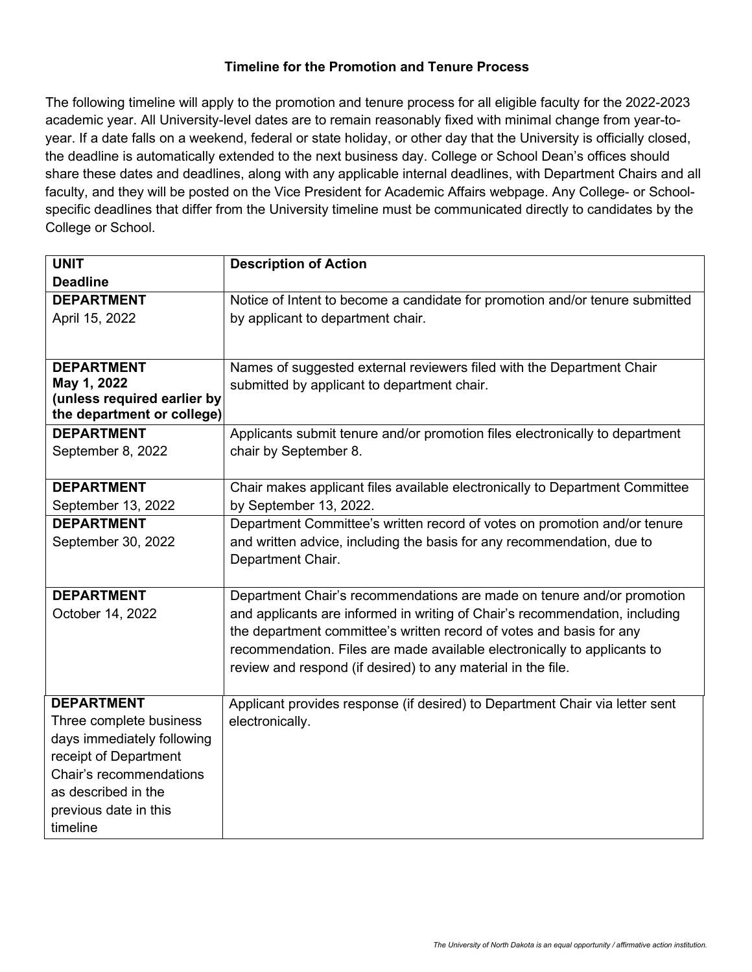### **Timeline for the Promotion and Tenure Process**

The following timeline will apply to the promotion and tenure process for all eligible faculty for the 2022-2023 academic year. All University-level dates are to remain reasonably fixed with minimal change from year-toyear. If a date falls on a weekend, federal or state holiday, or other day that the University is officially closed, the deadline is automatically extended to the next business day. College or School Dean's offices should share these dates and deadlines, along with any applicable internal deadlines, with Department Chairs and all faculty, and they will be posted on the Vice President for Academic Affairs webpage. Any College- or Schoolspecific deadlines that differ from the University timeline must be communicated directly to candidates by the College or School.

| <b>UNIT</b>                                | <b>Description of Action</b>                                                 |
|--------------------------------------------|------------------------------------------------------------------------------|
| <b>Deadline</b>                            |                                                                              |
| <b>DEPARTMENT</b>                          | Notice of Intent to become a candidate for promotion and/or tenure submitted |
| April 15, 2022                             | by applicant to department chair.                                            |
|                                            |                                                                              |
|                                            |                                                                              |
| <b>DEPARTMENT</b>                          | Names of suggested external reviewers filed with the Department Chair        |
| May 1, 2022<br>(unless required earlier by | submitted by applicant to department chair.                                  |
| the department or college)                 |                                                                              |
| <b>DEPARTMENT</b>                          | Applicants submit tenure and/or promotion files electronically to department |
| September 8, 2022                          | chair by September 8.                                                        |
|                                            |                                                                              |
| <b>DEPARTMENT</b>                          | Chair makes applicant files available electronically to Department Committee |
| September 13, 2022                         | by September 13, 2022.                                                       |
| <b>DEPARTMENT</b>                          | Department Committee's written record of votes on promotion and/or tenure    |
| September 30, 2022                         | and written advice, including the basis for any recommendation, due to       |
|                                            | Department Chair.                                                            |
|                                            |                                                                              |
| <b>DEPARTMENT</b>                          | Department Chair's recommendations are made on tenure and/or promotion       |
| October 14, 2022                           | and applicants are informed in writing of Chair's recommendation, including  |
|                                            | the department committee's written record of votes and basis for any         |
|                                            | recommendation. Files are made available electronically to applicants to     |
|                                            | review and respond (if desired) to any material in the file.                 |
| <b>DEPARTMENT</b>                          | Applicant provides response (if desired) to Department Chair via letter sent |
| Three complete business                    | electronically.                                                              |
| days immediately following                 |                                                                              |
| receipt of Department                      |                                                                              |
| Chair's recommendations                    |                                                                              |
| as described in the                        |                                                                              |
| previous date in this                      |                                                                              |
| timeline                                   |                                                                              |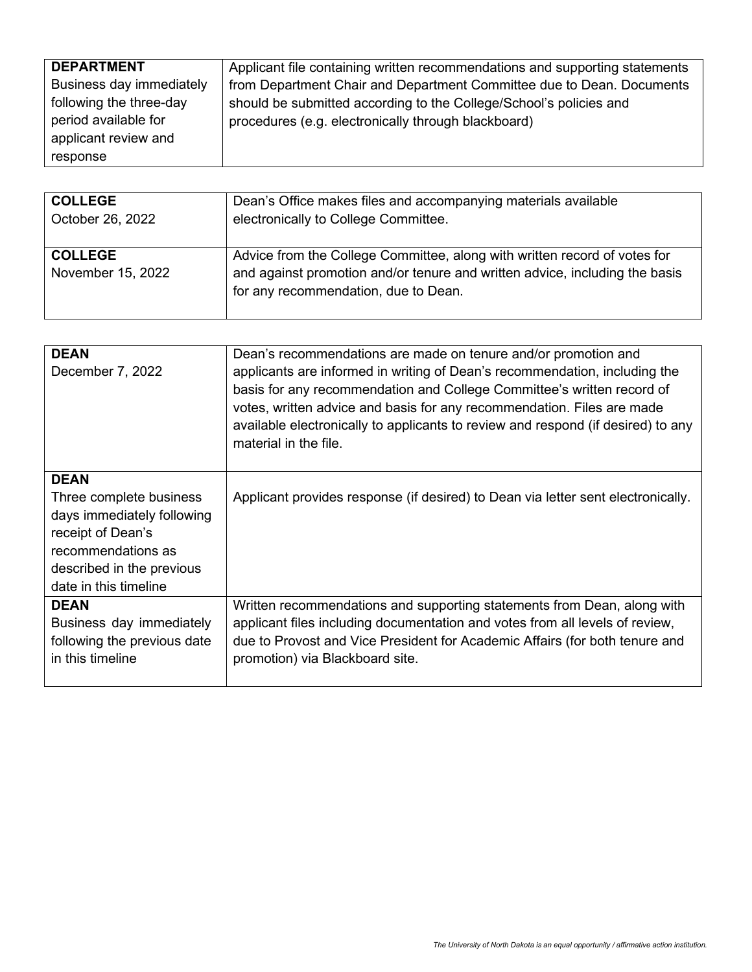| <b>DEPARTMENT</b>        | Applicant file containing written recommendations and supporting statements |
|--------------------------|-----------------------------------------------------------------------------|
| Business day immediately | from Department Chair and Department Committee due to Dean. Documents       |
| following the three-day  | should be submitted according to the College/School's policies and          |
| period available for     | procedures (e.g. electronically through blackboard)                         |
| applicant review and     |                                                                             |
| response                 |                                                                             |

| <b>COLLEGE</b>                      | Dean's Office makes files and accompanying materials available                                                                                                                                   |
|-------------------------------------|--------------------------------------------------------------------------------------------------------------------------------------------------------------------------------------------------|
| October 26, 2022                    | electronically to College Committee.                                                                                                                                                             |
| <b>COLLEGE</b><br>November 15, 2022 | Advice from the College Committee, along with written record of votes for<br>and against promotion and/or tenure and written advice, including the basis<br>for any recommendation, due to Dean. |

| <b>DEAN</b><br>December 7, 2022                                                                                                                                       | Dean's recommendations are made on tenure and/or promotion and<br>applicants are informed in writing of Dean's recommendation, including the<br>basis for any recommendation and College Committee's written record of<br>votes, written advice and basis for any recommendation. Files are made<br>available electronically to applicants to review and respond (if desired) to any<br>material in the file. |
|-----------------------------------------------------------------------------------------------------------------------------------------------------------------------|---------------------------------------------------------------------------------------------------------------------------------------------------------------------------------------------------------------------------------------------------------------------------------------------------------------------------------------------------------------------------------------------------------------|
| <b>DEAN</b><br>Three complete business<br>days immediately following<br>receipt of Dean's<br>recommendations as<br>described in the previous<br>date in this timeline | Applicant provides response (if desired) to Dean via letter sent electronically.                                                                                                                                                                                                                                                                                                                              |
| <b>DEAN</b><br>Business day immediately<br>following the previous date<br>in this timeline                                                                            | Written recommendations and supporting statements from Dean, along with<br>applicant files including documentation and votes from all levels of review,<br>due to Provost and Vice President for Academic Affairs (for both tenure and<br>promotion) via Blackboard site.                                                                                                                                     |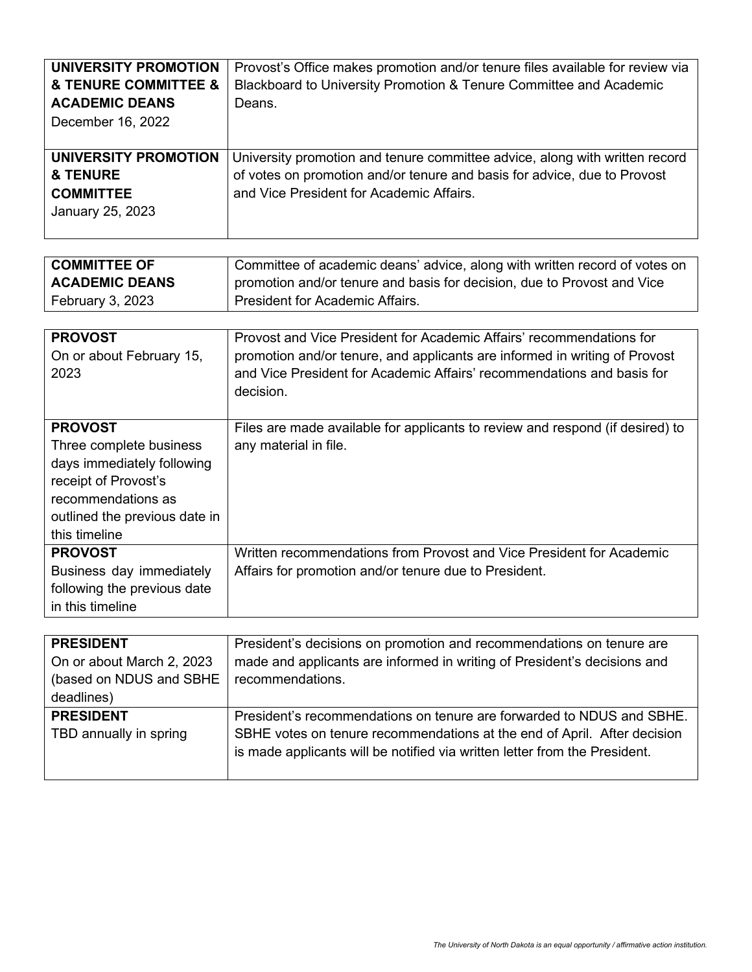| UNIVERSITY PROMOTION  | Provost's Office makes promotion and/or tenure files available for review via |
|-----------------------|-------------------------------------------------------------------------------|
| & TENURE COMMITTEE &  | Blackboard to University Promotion & Tenure Committee and Academic            |
| <b>ACADEMIC DEANS</b> | Deans.                                                                        |
| December 16, 2022     |                                                                               |
|                       |                                                                               |
|                       |                                                                               |
| UNIVERSITY PROMOTION  | University promotion and tenure committee advice, along with written record   |
| <b>&amp; TENURE</b>   | of votes on promotion and/or tenure and basis for advice, due to Provost      |
| <b>COMMITTEE</b>      | and Vice President for Academic Affairs.                                      |
| January 25, 2023      |                                                                               |

| <b>COMMITTEE OF</b>   | Committee of academic deans' advice, along with written record of votes on |
|-----------------------|----------------------------------------------------------------------------|
| <b>ACADEMIC DEANS</b> | promotion and/or tenure and basis for decision, due to Provost and Vice    |
| February 3, 2023      | <b>President for Academic Affairs.</b>                                     |

| <b>PROVOST</b><br>On or about February 15,<br>2023                                                                                                                      | Provost and Vice President for Academic Affairs' recommendations for<br>promotion and/or tenure, and applicants are informed in writing of Provost<br>and Vice President for Academic Affairs' recommendations and basis for<br>decision. |
|-------------------------------------------------------------------------------------------------------------------------------------------------------------------------|-------------------------------------------------------------------------------------------------------------------------------------------------------------------------------------------------------------------------------------------|
| <b>PROVOST</b><br>Three complete business<br>days immediately following<br>receipt of Provost's<br>recommendations as<br>outlined the previous date in<br>this timeline | Files are made available for applicants to review and respond (if desired) to<br>any material in file.                                                                                                                                    |
| <b>PROVOST</b><br>Business day immediately<br>following the previous date<br>in this timeline                                                                           | Written recommendations from Provost and Vice President for Academic<br>Affairs for promotion and/or tenure due to President.                                                                                                             |

| <b>PRESIDENT</b>          | President's decisions on promotion and recommendations on tenure are       |
|---------------------------|----------------------------------------------------------------------------|
| On or about March 2, 2023 | made and applicants are informed in writing of President's decisions and   |
| (based on NDUS and SBHE   | recommendations.                                                           |
| deadlines)                |                                                                            |
| <b>PRESIDENT</b>          | President's recommendations on tenure are forwarded to NDUS and SBHE.      |
| TBD annually in spring    | SBHE votes on tenure recommendations at the end of April. After decision   |
|                           | is made applicants will be notified via written letter from the President. |
|                           |                                                                            |